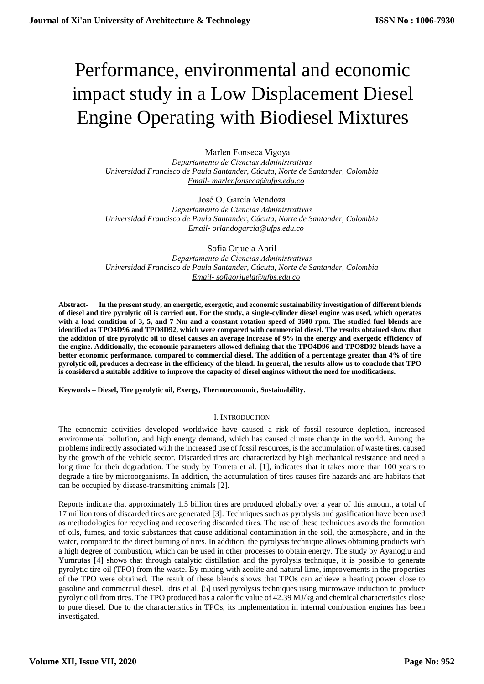# Performance, environmental and economic impact study in a Low Displacement Diesel Engine Operating with Biodiesel Mixtures

Marlen Fonseca Vigoya *Departamento de Ciencias Administrativas Universidad Francisco de Paula Santander, Cúcuta, Norte de Santander, Colombia Email- [marlenfonseca@ufps.edu.co](mailto:marlenfonseca@ufps.edu.co)*

José O. García Mendoza *Departamento de Ciencias Administrativas Universidad Francisco de Paula Santander, Cúcuta, Norte de Santander, Colombia Email- [orlandogarcia@ufps.edu.co](mailto:orlandogarcia@ufps.edu.co)*

Sofia Orjuela Abril *Departamento de Ciencias Administrativas Universidad Francisco de Paula Santander, Cúcuta, Norte de Santander, Colombia Email- [sofiaorjuela@ufps.edu.co](mailto:sofiaorjuela@ufps.edu.co)*

**Abstract- In the present study, an energetic, exergetic, and economic sustainability investigation of different blends of diesel and tire pyrolytic oil is carried out. For the study, a single-cylinder diesel engine was used, which operates with a load condition of 3, 5, and 7 Nm and a constant rotation speed of 3600 rpm. The studied fuel blends are identified as TPO4D96 and TPO8D92, which were compared with commercial diesel. The results obtained show that the addition of tire pyrolytic oil to diesel causes an average increase of 9% in the energy and exergetic efficiency of the engine. Additionally, the economic parameters allowed defining that the TPO4D96 and TPO8D92 blends have a better economic performance, compared to commercial diesel. The addition of a percentage greater than 4% of tire pyrolytic oil, produces a decrease in the efficiency of the blend. In general, the results allow us to conclude that TPO is considered a suitable additive to improve the capacity of diesel engines without the need for modifications.**

**Keywords – Diesel, Tire pyrolytic oil, Exergy, Thermoeconomic, Sustainability.**

## I. INTRODUCTION

The economic activities developed worldwide have caused a risk of fossil resource depletion, increased environmental pollution, and high energy demand, which has caused climate change in the world. Among the problems indirectly associated with the increased use of fossil resources, is the accumulation of waste tires, caused by the growth of the vehicle sector. Discarded tires are characterized by high mechanical resistance and need a long time for their degradation. The study by Torreta et al. [1], indicates that it takes more than 100 years to degrade a tire by microorganisms. In addition, the accumulation of tires causes fire hazards and are habitats that can be occupied by disease-transmitting animals [2].

Reports indicate that approximately 1.5 billion tires are produced globally over a year of this amount, a total of 17 million tons of discarded tires are generated [3]. Techniques such as pyrolysis and gasification have been used as methodologies for recycling and recovering discarded tires. The use of these techniques avoids the formation of oils, fumes, and toxic substances that cause additional contamination in the soil, the atmosphere, and in the water, compared to the direct burning of tires. In addition, the pyrolysis technique allows obtaining products with a high degree of combustion, which can be used in other processes to obtain energy. The study by Ayanoglu and Yumrutas [4] shows that through catalytic distillation and the pyrolysis technique, it is possible to generate pyrolytic tire oil (TPO) from the waste. By mixing with zeolite and natural lime, improvements in the properties of the TPO were obtained. The result of these blends shows that TPOs can achieve a heating power close to gasoline and commercial diesel. Idris et al. [5] used pyrolysis techniques using microwave induction to produce pyrolytic oil from tires. The TPO produced has a calorific value of 42.39 MJ/kg and chemical characteristics close to pure diesel. Due to the characteristics in TPOs, its implementation in internal combustion engines has been investigated.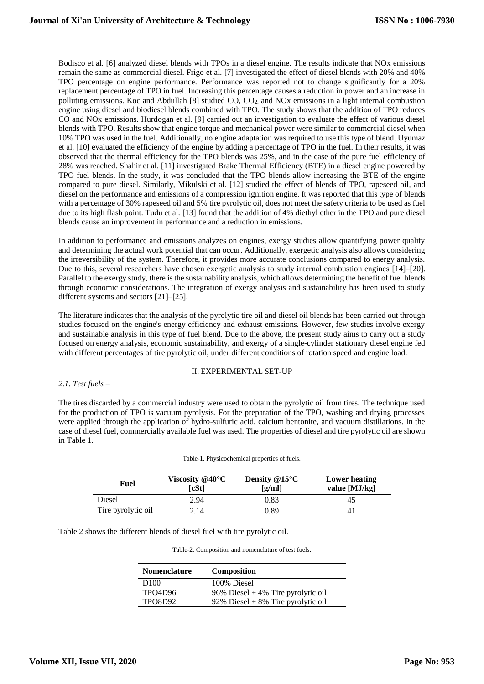Bodisco et al. [6] analyzed diesel blends with TPOs in a diesel engine. The results indicate that NOx emissions remain the same as commercial diesel. Frigo et al. [7] investigated the effect of diesel blends with 20% and 40% TPO percentage on engine performance. Performance was reported not to change significantly for a 20% replacement percentage of TPO in fuel. Increasing this percentage causes a reduction in power and an increase in polluting emissions. Koc and Abdullah [8] studied CO, CO2, and NOx emissions in a light internal combustion engine using diesel and biodiesel blends combined with TPO. The study shows that the addition of TPO reduces CO and NOx emissions. Hurdogan et al. [9] carried out an investigation to evaluate the effect of various diesel blends with TPO. Results show that engine torque and mechanical power were similar to commercial diesel when 10% TPO was used in the fuel. Additionally, no engine adaptation was required to use this type of blend. Uyumaz et al. [10] evaluated the efficiency of the engine by adding a percentage of TPO in the fuel. In their results, it was observed that the thermal efficiency for the TPO blends was 25%, and in the case of the pure fuel efficiency of 28% was reached. Shahir et al. [11] investigated Brake Thermal Efficiency (BTE) in a diesel engine powered by TPO fuel blends. In the study, it was concluded that the TPO blends allow increasing the BTE of the engine compared to pure diesel. Similarly, Mikulski et al. [12] studied the effect of blends of TPO, rapeseed oil, and diesel on the performance and emissions of a compression ignition engine. It was reported that this type of blends with a percentage of 30% rapeseed oil and 5% tire pyrolytic oil, does not meet the safety criteria to be used as fuel due to its high flash point. Tudu et al. [13] found that the addition of 4% diethyl ether in the TPO and pure diesel blends cause an improvement in performance and a reduction in emissions.

In addition to performance and emissions analyzes on engines, exergy studies allow quantifying power quality and determining the actual work potential that can occur. Additionally, exergetic analysis also allows considering the irreversibility of the system. Therefore, it provides more accurate conclusions compared to energy analysis. Due to this, several researchers have chosen exergetic analysis to study internal combustion engines [14]–[20]. Parallel to the exergy study, there is the sustainability analysis, which allows determining the benefit of fuel blends through economic considerations. The integration of exergy analysis and sustainability has been used to study different systems and sectors [21]–[25].

The literature indicates that the analysis of the pyrolytic tire oil and diesel oil blends has been carried out through studies focused on the engine's energy efficiency and exhaust emissions. However, few studies involve exergy and sustainable analysis in this type of fuel blend. Due to the above, the present study aims to carry out a study focused on energy analysis, economic sustainability, and exergy of a single-cylinder stationary diesel engine fed with different percentages of tire pyrolytic oil, under different conditions of rotation speed and engine load.

## II. EXPERIMENTAL SET-UP

## *2.1. Test fuels –*

The tires discarded by a commercial industry were used to obtain the pyrolytic oil from tires. The technique used for the production of TPO is vacuum pyrolysis. For the preparation of the TPO, washing and drying processes were applied through the application of hydro-sulfuric acid, calcium bentonite, and vacuum distillations. In the case of diesel fuel, commercially available fuel was used. The properties of diesel and tire pyrolytic oil are shown in Table 1.

| Table-1. Physicochemical properties of fuels. |                                        |                           |                                |
|-----------------------------------------------|----------------------------------------|---------------------------|--------------------------------|
| Fuel                                          | Viscosity @40 $\rm ^{\circ}C$<br>[cSt] | Density $@15°C$<br>[g/ml] | Lower heating<br>value [MJ/kg] |
| Diesel                                        | 2.94                                   | 0.83                      | 45                             |
| Tire pyrolytic oil                            | 2.14                                   | 0.89                      | 41                             |

Table 2 shows the different blends of diesel fuel with tire pyrolytic oil.

Table-2. Composition and nomenclature of test fuels.

| <b>Nomenclature</b> | <b>Composition</b>                  |
|---------------------|-------------------------------------|
| D <sub>100</sub>    | 100% Diesel                         |
| <b>TPO4D96</b>      | 96% Diesel $+4%$ Tire pyrolytic oil |
| <b>TPO8D92</b>      | 92% Diesel + 8% Tire pyrolytic oil  |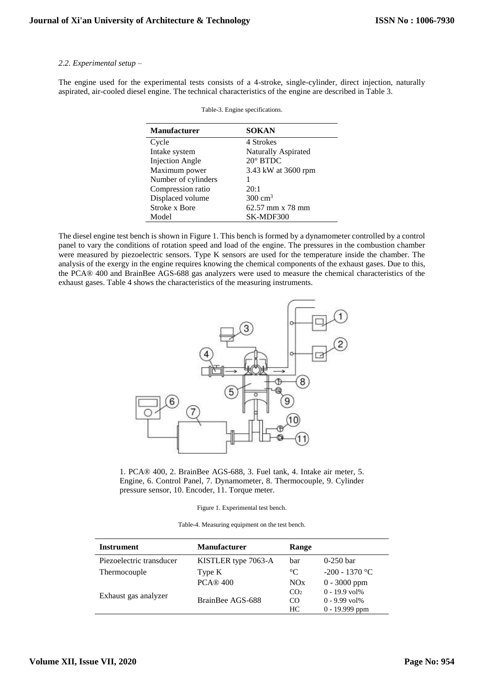## *2.2. Experimental setup –*

The engine used for the experimental tests consists of a 4-stroke, single-cylinder, direct injection, naturally aspirated, air-cooled diesel engine. The technical characteristics of the engine are described in Table 3.

| <b>Manufacturer</b>    | <b>SOKAN</b>               |
|------------------------|----------------------------|
| Cycle                  | 4 Strokes                  |
| Intake system          | <b>Naturally Aspirated</b> |
| <b>Injection Angle</b> | $20^\circ$ BTDC            |
| Maximum power          | 3.43 kW at 3600 rpm        |
| Number of cylinders    |                            |
| Compression ratio      | 20:1                       |
| Displaced volume       | $300 \text{ cm}^3$         |
| Stroke x Bore          | 62.57 mm x 78 mm           |
| Model                  | SK-MDF300                  |

Table-3. Engine specifications.

The diesel engine test bench is shown in Figure 1. This bench is formed by a dynamometer controlled by a control panel to vary the conditions of rotation speed and load of the engine. The pressures in the combustion chamber were measured by piezoelectric sensors. Type K sensors are used for the temperature inside the chamber. The analysis of the exergy in the engine requires knowing the chemical components of the exhaust gases. Due to this, the PCA® 400 and BrainBee AGS-688 gas analyzers were used to measure the chemical characteristics of the exhaust gases. Table 4 shows the characteristics of the measuring instruments.



1. PCA® 400, 2. BrainBee AGS-688, 3. Fuel tank, 4. Intake air meter, 5. Engine, 6. Control Panel, 7. Dynamometer, 8. Thermocouple, 9. Cylinder pressure sensor, 10. Encoder, 11. Torque meter.

Figure 1. Experimental test bench.

| Table-4. Measuring equipment on the test bench. |  |  |
|-------------------------------------------------|--|--|
|                                                 |  |  |

| Instrument               | <b>Manufacturer</b> | Range           |                               |
|--------------------------|---------------------|-----------------|-------------------------------|
| Piezoelectric transducer | KISTLER type 7063-A | bar             | $0-250$ bar                   |
| Thermocouple             | Type K              | $^{\circ}C$     | $-200 - 1370$ °C              |
|                          | <b>PCA® 400</b>     | NOx             | $0 - 3000$ ppm                |
| Exhaust gas analyzer     |                     | CO <sub>2</sub> | $0 - 19.9$ vol <sup>%</sup>   |
|                          | BrainBee AGS-688    | CO              | $0 - 9.99$ vol <sup>1</sup> % |
|                          |                     | HC.             | $0 - 19.999$ ppm              |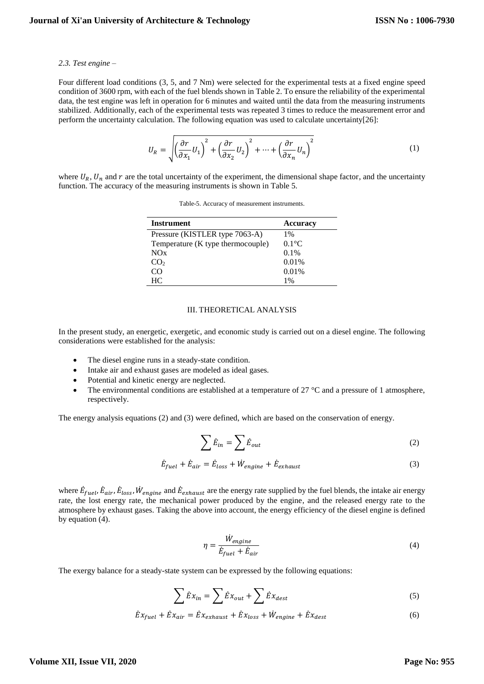#### *2.3. Test engine –*

Four different load conditions (3, 5, and 7 Nm) were selected for the experimental tests at a fixed engine speed condition of 3600 rpm, with each of the fuel blends shown in Table 2. To ensure the reliability of the experimental data, the test engine was left in operation for 6 minutes and waited until the data from the measuring instruments stabilized. Additionally, each of the experimental tests was repeated 3 times to reduce the measurement error and perform the uncertainty calculation. The following equation was used to calculate uncertainty[26]:

$$
U_R = \sqrt{\left(\frac{\partial r}{\partial x_1} U_1\right)^2 + \left(\frac{\partial r}{\partial x_2} U_2\right)^2 + \dots + \left(\frac{\partial r}{\partial x_n} U_n\right)^2} \tag{1}
$$

where  $U_R$ ,  $U_n$  and  $r$  are the total uncertainty of the experiment, the dimensional shape factor, and the uncertainty function. The accuracy of the measuring instruments is shown in Table 5.

| Instrument                        | <b>Accuracy</b> |
|-----------------------------------|-----------------|
| Pressure (KISTLER type 7063-A)    | 1%              |
| Temperature (K type thermocouple) | $0.1^{\circ}$ C |
| NOx                               | $0.1\%$         |
| CO <sub>2</sub>                   | 0.01%           |
| CO                                | 0.01%           |
| HC                                | $1\%$           |

Table-5. Accuracy of measurement instruments.

## III. THEORETICAL ANALYSIS

In the present study, an energetic, exergetic, and economic study is carried out on a diesel engine. The following considerations were established for the analysis:

- The diesel engine runs in a steady-state condition.
- Intake air and exhaust gases are modeled as ideal gases.
- Potential and kinetic energy are neglected.
- The environmental conditions are established at a temperature of  $27 \degree C$  and a pressure of 1 atmosphere, respectively.

The energy analysis equations (2) and (3) were defined, which are based on the conservation of energy.

$$
\sum \dot{E}_{in} = \sum \dot{E}_{out} \tag{2}
$$

$$
\dot{E}_{fuel} + \dot{E}_{air} = \dot{E}_{loss} + \dot{W}_{engine} + \dot{E}_{exhaust}
$$
\n(3)

where  $\dot{E}_{fuel}$ ,  $\dot{E}_{air}$ ,  $\dot{E}_{loss}$ ,  $\dot{W}_{engine}$  and  $\dot{E}_{exhaust}$  are the energy rate supplied by the fuel blends, the intake air energy rate, the lost energy rate, the mechanical power produced by the engine, and the released energy rate to the atmosphere by exhaust gases. Taking the above into account, the energy efficiency of the diesel engine is defined by equation (4).

$$
\eta = \frac{W_{engine}}{\dot{E}_{fuel} + \dot{E}_{air}}\tag{4}
$$

The exergy balance for a steady-state system can be expressed by the following equations:

$$
\sum \dot{E} x_{in} = \sum \dot{E} x_{out} + \sum \dot{E} x_{dest} \tag{5}
$$

$$
\dot{E}x_{fuel} + \dot{E}x_{air} = \dot{E}x_{exhaust} + \dot{E}x_{loss} + \dot{W}_{engine} + \dot{E}x_{dest}
$$
 (6)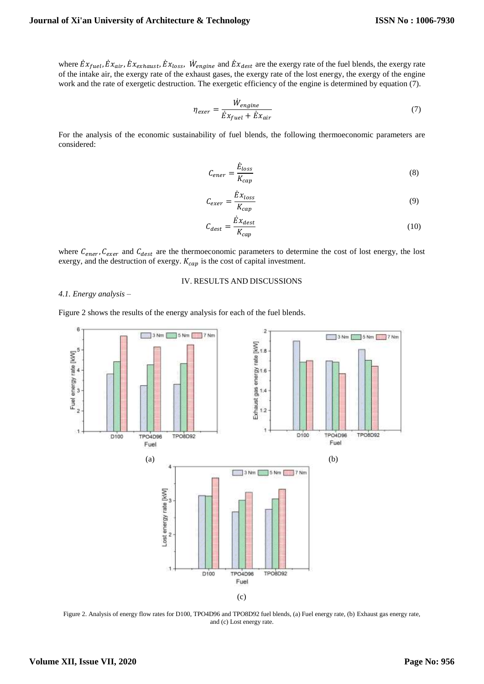where  $\dot{E}x_{fuel}$ ,  $\dot{E}x_{air}$ ,  $\dot{E}x_{exhaust}$ ,  $\dot{E}x_{loss}$ ,  $\dot{W}_{engine}$  and  $\dot{E}x_{dest}$  are the exergy rate of the fuel blends, the exergy rate of the intake air, the exergy rate of the exhaust gases, the exergy rate of the lost energy, the exergy of the engine work and the rate of exergetic destruction. The exergetic efficiency of the engine is determined by equation (7).

$$
\eta_{exer} = \frac{W_{engine}}{\dot{E}x_{fuel} + \dot{E}x_{air}} \tag{7}
$$

For the analysis of the economic sustainability of fuel blends, the following thermoeconomic parameters are considered:

$$
C_{ener} = \frac{\dot{E}_{loss}}{K_{cap}}\tag{8}
$$

$$
C_{exer} = \frac{\dot{E}x_{loss}}{K_{cap}}\tag{9}
$$

$$
C_{dest} = \frac{\dot{E}x_{dest}}{K_{cap}}\tag{10}
$$

where  $C_{ener}$ ,  $C_{exer}$  and  $C_{dest}$  are the thermoeconomic parameters to determine the cost of lost energy, the lost exergy, and the destruction of exergy.  $K_{cap}$  is the cost of capital investment.

## IV. RESULTS AND DISCUSSIONS

## *4.1. Energy analysis –*

Figure 2 shows the results of the energy analysis for each of the fuel blends.



Figure 2. Analysis of energy flow rates for D100, TPO4D96 and TPO8D92 fuel blends, (a) Fuel energy rate, (b) Exhaust gas energy rate, and (c) Lost energy rate.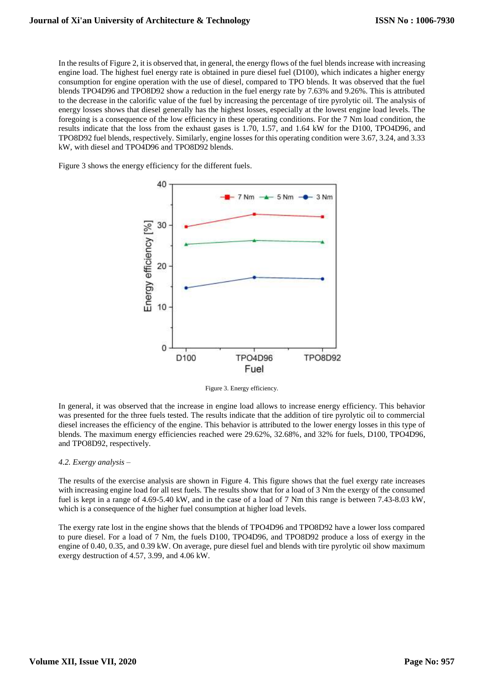In the results of Figure 2, it is observed that, in general, the energy flows of the fuel blends increase with increasing engine load. The highest fuel energy rate is obtained in pure diesel fuel (D100), which indicates a higher energy consumption for engine operation with the use of diesel, compared to TPO blends. It was observed that the fuel blends TPO4D96 and TPO8D92 show a reduction in the fuel energy rate by 7.63% and 9.26%. This is attributed to the decrease in the calorific value of the fuel by increasing the percentage of tire pyrolytic oil. The analysis of energy losses shows that diesel generally has the highest losses, especially at the lowest engine load levels. The foregoing is a consequence of the low efficiency in these operating conditions. For the 7 Nm load condition, the results indicate that the loss from the exhaust gases is 1.70, 1.57, and 1.64 kW for the D100, TPO4D96, and TPO8D92 fuel blends, respectively. Similarly, engine losses for this operating condition were 3.67, 3.24, and 3.33 kW, with diesel and TPO4D96 and TPO8D92 blends.

Figure 3 shows the energy efficiency for the different fuels.



Figure 3. Energy efficiency.

In general, it was observed that the increase in engine load allows to increase energy efficiency. This behavior was presented for the three fuels tested. The results indicate that the addition of tire pyrolytic oil to commercial diesel increases the efficiency of the engine. This behavior is attributed to the lower energy losses in this type of blends. The maximum energy efficiencies reached were 29.62%, 32.68%, and 32% for fuels, D100, TPO4D96, and TPO8D92, respectively.

## *4.2. Exergy analysis –*

The results of the exercise analysis are shown in Figure 4. This figure shows that the fuel exergy rate increases with increasing engine load for all test fuels. The results show that for a load of 3 Nm the exergy of the consumed fuel is kept in a range of 4.69-5.40 kW, and in the case of a load of 7 Nm this range is between 7.43-8.03 kW, which is a consequence of the higher fuel consumption at higher load levels.

The exergy rate lost in the engine shows that the blends of TPO4D96 and TPO8D92 have a lower loss compared to pure diesel. For a load of 7 Nm, the fuels D100, TPO4D96, and TPO8D92 produce a loss of exergy in the engine of 0.40, 0.35, and 0.39 kW. On average, pure diesel fuel and blends with tire pyrolytic oil show maximum exergy destruction of 4.57, 3.99, and 4.06 kW.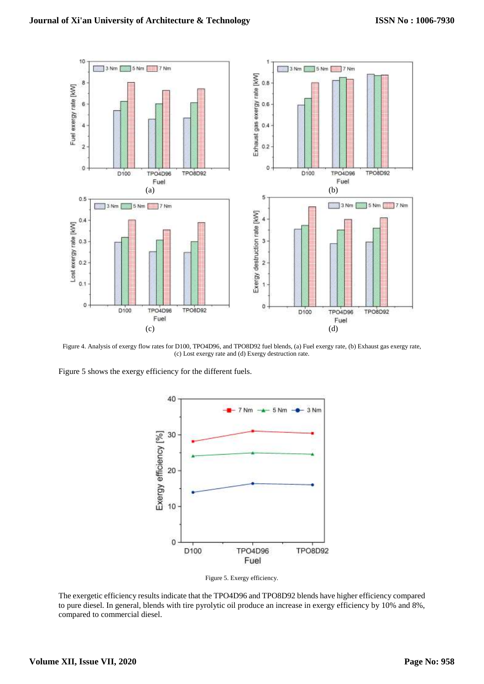

Figure 4. Analysis of exergy flow rates for D100, TPO4D96, and TPO8D92 fuel blends, (a) Fuel exergy rate, (b) Exhaust gas exergy rate, (c) Lost exergy rate and (d) Exergy destruction rate.

Figure 5 shows the exergy efficiency for the different fuels.



Figure 5. Exergy efficiency.

The exergetic efficiency results indicate that the TPO4D96 and TPO8D92 blends have higher efficiency compared to pure diesel. In general, blends with tire pyrolytic oil produce an increase in exergy efficiency by 10% and 8%, compared to commercial diesel.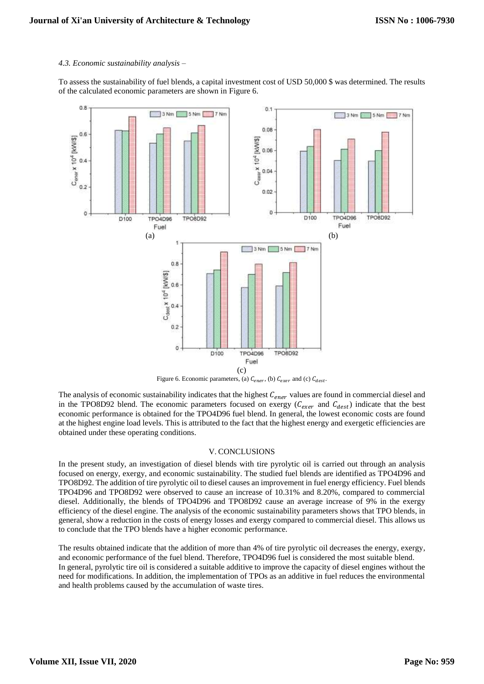## *4.3. Economic sustainability analysis –*

To assess the sustainability of fuel blends, a capital investment cost of USD 50,000 \$ was determined. The results of the calculated economic parameters are shown in Figure 6.



Figure 6. Economic parameters, (a)  $C_{ener}$ , (b)  $C_{exer}$  and (c)  $C_{dest}$ .

The analysis of economic sustainability indicates that the highest  $C_{ener}$  values are found in commercial diesel and in the TPO8D92 blend. The economic parameters focused on exergy ( $C_{exer}$  and  $C_{dest}$ ) indicate that the best economic performance is obtained for the TPO4D96 fuel blend. In general, the lowest economic costs are found at the highest engine load levels. This is attributed to the fact that the highest energy and exergetic efficiencies are obtained under these operating conditions.

## V. CONCLUSIONS

In the present study, an investigation of diesel blends with tire pyrolytic oil is carried out through an analysis focused on energy, exergy, and economic sustainability. The studied fuel blends are identified as TPO4D96 and TPO8D92. The addition of tire pyrolytic oil to diesel causes an improvement in fuel energy efficiency. Fuel blends TPO4D96 and TPO8D92 were observed to cause an increase of 10.31% and 8.20%, compared to commercial diesel. Additionally, the blends of TPO4D96 and TPO8D92 cause an average increase of 9% in the exergy efficiency of the diesel engine. The analysis of the economic sustainability parameters shows that TPO blends, in general, show a reduction in the costs of energy losses and exergy compared to commercial diesel. This allows us to conclude that the TPO blends have a higher economic performance.

The results obtained indicate that the addition of more than 4% of tire pyrolytic oil decreases the energy, exergy, and economic performance of the fuel blend. Therefore, TPO4D96 fuel is considered the most suitable blend. In general, pyrolytic tire oil is considered a suitable additive to improve the capacity of diesel engines without the need for modifications. In addition, the implementation of TPOs as an additive in fuel reduces the environmental and health problems caused by the accumulation of waste tires.